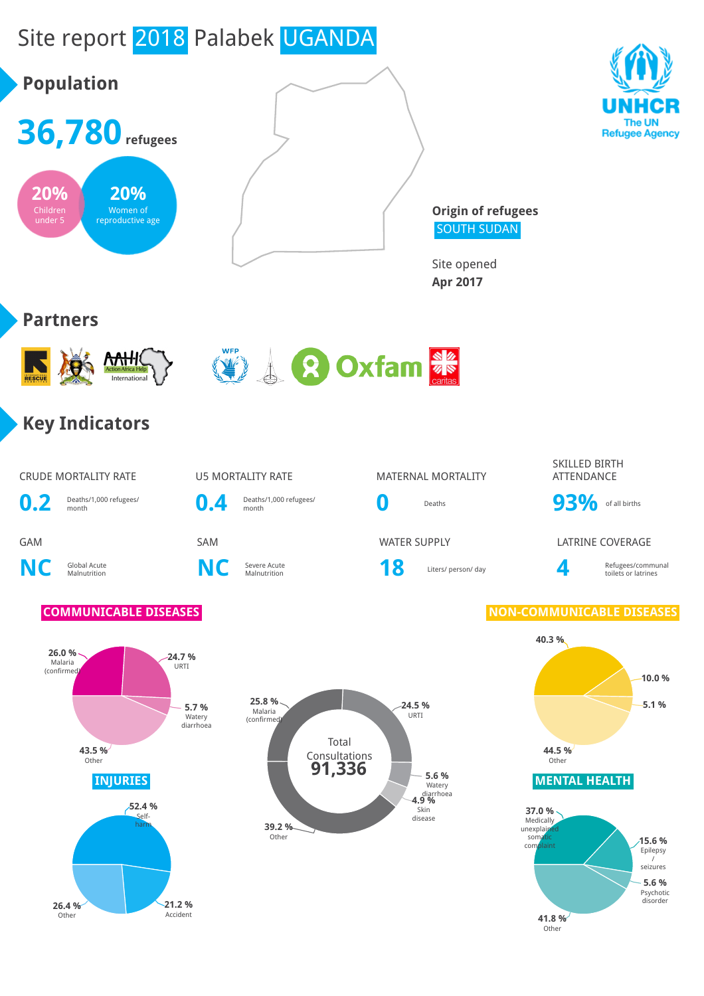# Site report 2018 Palabek UGANDA





**Origin of refugees** SOUTH SUDAN

Site opened **Apr 2017**

## **Partners**





## **Key Indicators**

CRUDE MORTALITY RATE **U5 MORTALITY RATE** MATERNAL MORTALITY

**0.2** Deaths/1,000 refugees/ month **0.4** Deaths/1,000 refugees/

**NC** Global Acute

Severe Acute **18** Liters/ person/ day **4** 

SKILLED BIRTH ATTENDANCE

Deaths/1,000 refugees/<br>month **0** Deaths **93%** of all births

GAM SAM WATER SUPPLY LATRINE COVERAGE

Refugees/communal toilets or latrines

**C** Severe Acute<br>Malnutrition **NC** Severe Acute





## **COMMUNICABLE DISEASES NON-COMMUNICABLE DISEASES**

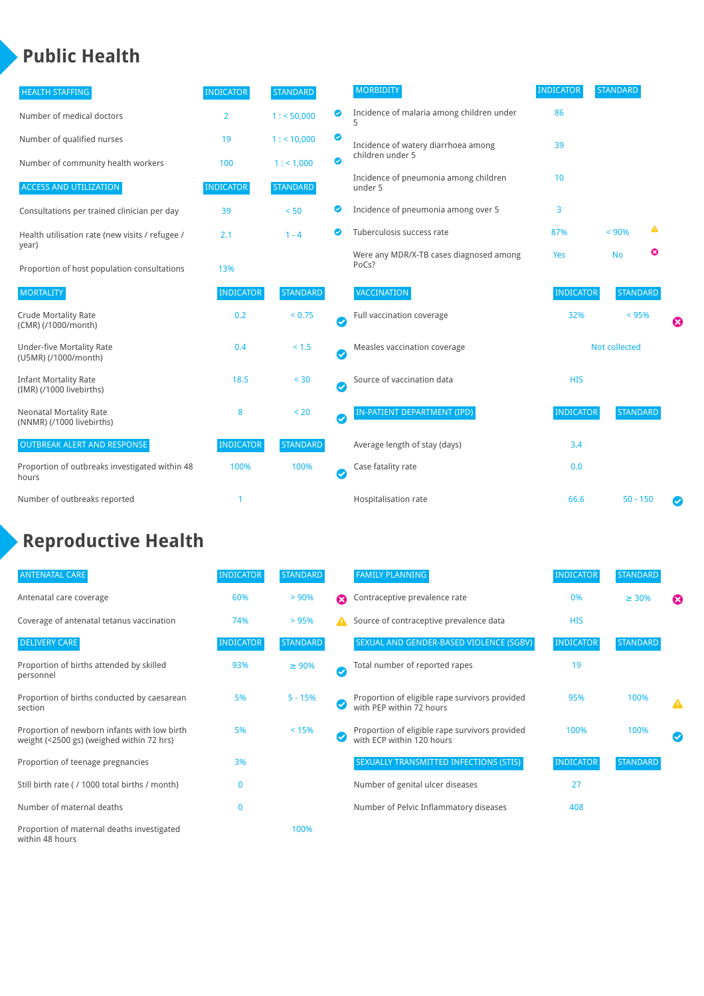## **Public Health**

| <b>HEALTH STAFFING</b>                                      | <b>INDICATOR</b> | <b>STANDARD</b> |                       | <b>MORBIDITY</b>                                 | <b>INDICATOR</b> | <b>STANDARD</b> |   |   |
|-------------------------------------------------------------|------------------|-----------------|-----------------------|--------------------------------------------------|------------------|-----------------|---|---|
| Number of medical doctors                                   | $\overline{2}$   | 1: 50,000       | ◙                     | Incidence of malaria among children under<br>5   | 86               |                 |   |   |
| Number of qualified nurses                                  | 19               | 1:10,000        | ◉                     | Incidence of watery diarrhoea among              | 39               |                 |   |   |
| Number of community health workers                          | 100              | 1: 1,000        | ◙                     | children under 5                                 |                  |                 |   |   |
| <b>ACCESS AND UTILIZATION</b>                               | <b>INDICATOR</b> | <b>STANDARD</b> |                       | Incidence of pneumonia among children<br>under 5 | 10               |                 |   |   |
| Consultations per trained clinician per day                 | 39               | < 50            | ◙                     | Incidence of pneumonia among over 5              | 3                |                 |   |   |
| Health utilisation rate (new visits / refugee /             | 2.1              | $1 - 4$         |                       | Tuberculosis success rate                        | 87%              | < 90%           | ▲ |   |
| year)<br>Proportion of host population consultations        | 13%              |                 |                       | Were any MDR/X-TB cases diagnosed among<br>PoCs? | Yes              | <b>No</b>       | ☎ |   |
| <b>MORTALITY</b>                                            | <b>INDICATOR</b> | <b>STANDARD</b> |                       | <b>VACCINATION</b>                               | <b>INDICATOR</b> | <b>STANDARD</b> |   |   |
| <b>Crude Mortality Rate</b><br>(CMR) (/1000/month)          | 0.2              | < 0.75          | $\bullet$             | Full vaccination coverage                        | 32%              | < 95%           |   | ೞ |
| <b>Under-five Mortality Rate</b><br>(U5MR) (/1000/month)    | 0.4              | < 1.5           | Ø                     | Measles vaccination coverage                     | Not collected    |                 |   |   |
| <b>Infant Mortality Rate</b><br>(IMR) (/1000 livebirths)    | 18.5             | < 30            | $\boldsymbol{\omega}$ | Source of vaccination data                       | <b>HIS</b>       |                 |   |   |
| <b>Neonatal Mortality Rate</b><br>(NNMR) (/1000 livebirths) | 8                | < 20            | $\bullet$             | <b>IN-PATIENT DEPARTMENT (IPD)</b>               | <b>INDICATOR</b> | <b>STANDARD</b> |   |   |
| <b>OUTBREAK ALERT AND RESPONSE</b>                          | <b>INDICATOR</b> | <b>STANDARD</b> |                       | Average length of stay (days)                    | 3.4              |                 |   |   |
| Proportion of outbreaks investigated within 48<br>hours     | 100%             | 100%            | Ø                     | Case fatality rate                               | 0.0              |                 |   |   |
| Number of outbreaks reported                                |                  |                 |                       | Hospitalisation rate                             | 66.6             | $50 - 150$      |   | Ø |

## **Reproductive Health**

| <b>ANTENATAL CARE</b>                                                                     | <b>INDICATOR</b> | <b>STANDARD</b> |                       | <b>FAMILY PLANNING</b>                                                      | <b>INDICATOR</b> | STANDARD        |                       |
|-------------------------------------------------------------------------------------------|------------------|-----------------|-----------------------|-----------------------------------------------------------------------------|------------------|-----------------|-----------------------|
| Antenatal care coverage                                                                   | 60%              | $> 90\%$        | $\boldsymbol{\Omega}$ | Contraceptive prevalence rate                                               | 0%               | $\geq 30\%$     | $\boldsymbol{\Omega}$ |
| Coverage of antenatal tetanus vaccination                                                 | 74%              | >95%            | А                     | Source of contraceptive prevalence data                                     | <b>HIS</b>       |                 |                       |
| <b>DELIVERY CARE</b>                                                                      | <b>INDICATOR</b> | <b>STANDARD</b> |                       | SEXUAL AND GENDER-BASED VIOLENCE (SGBV)                                     | <b>INDICATOR</b> | <b>STANDARD</b> |                       |
| Proportion of births attended by skilled<br>personnel                                     | 93%              | $\geq 90\%$     | $\bm{\sigma}$         | Total number of reported rapes                                              | 19               |                 |                       |
| Proportion of births conducted by caesarean<br>section                                    | 5%               | $5 - 15%$       |                       | Proportion of eligible rape survivors provided<br>with PEP within 72 hours  | 95%              | 100%            | Δ                     |
| Proportion of newborn infants with low birth<br>weight (<2500 gs) (weighed within 72 hrs) | 5%               | < 15%           |                       | Proportion of eligible rape survivors provided<br>with ECP within 120 hours | 100%             | 100%            |                       |
| Proportion of teenage pregnancies                                                         | 3%               |                 |                       | SEXUALLY TRANSMITTED INFECTIONS (STIS)                                      | <b>INDICATOR</b> | <b>STANDARD</b> |                       |
| Still birth rate (/ 1000 total births / month)                                            | 0                |                 |                       | Number of genital ulcer diseases                                            | 27               |                 |                       |
| Number of maternal deaths                                                                 | $\mathbf 0$      |                 |                       | Number of Pelvic Inflammatory diseases                                      | 408              |                 |                       |
| Proportion of maternal deaths investigated<br>within 48 hours                             |                  | 100%            |                       |                                                                             |                  |                 |                       |